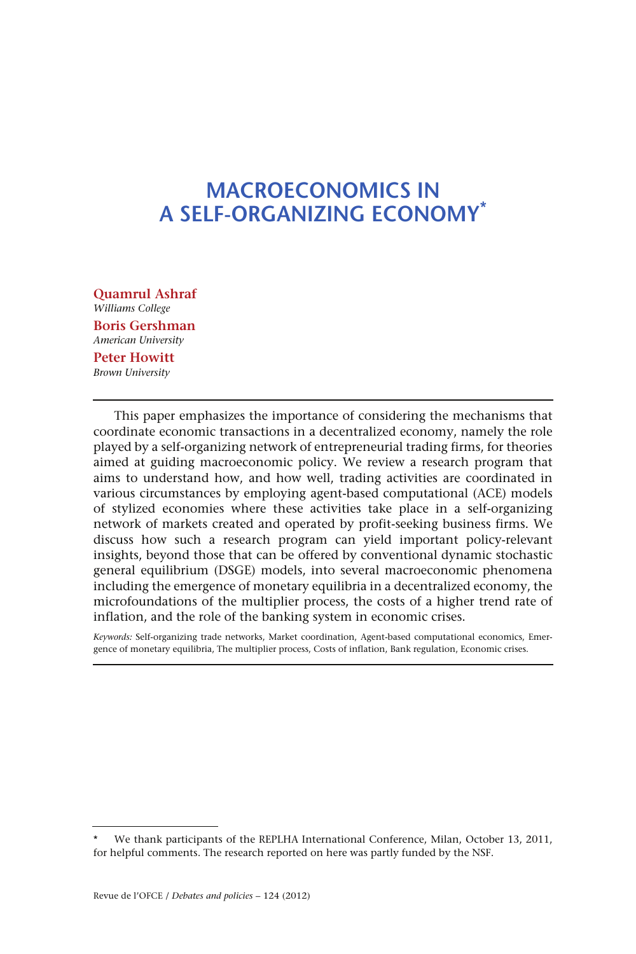# **MACROECONOMICS IN A SELF-ORGANIZING ECONOMY\***

#### **Quamrul Ashraf** *Williams College*

**Boris Gershman** *American University* **Peter Howitt** *Brown University*

This paper emphasizes the importance of considering the mechanisms that coordinate economic transactions in a decentralized economy, namely the role played by a self-organizing network of entrepreneurial trading firms, for theories aimed at guiding macroeconomic policy. We review a research program that aims to understand how, and how well, trading activities are coordinated in various circumstances by employing agent-based computational (ACE) models of stylized economies where these activities take place in a self-organizing network of markets created and operated by profit-seeking business firms. We discuss how such a research program can yield important policy-relevant insights, beyond those that can be offered by conventional dynamic stochastic general equilibrium (DSGE) models, into several macroeconomic phenomena including the emergence of monetary equilibria in a decentralized economy, the microfoundations of the multiplier process, the costs of a higher trend rate of inflation, and the role of the banking system in economic crises.

*Keywords:* Self-organizing trade networks, Market coordination, Agent-based computational economics, Emergence of monetary equilibria, The multiplier process, Costs of inflation, Bank regulation, Economic crises.

We thank participants of the REPLHA International Conference, Milan, October 13, 2011, for helpful comments. The research reported on here was partly funded by the NSF.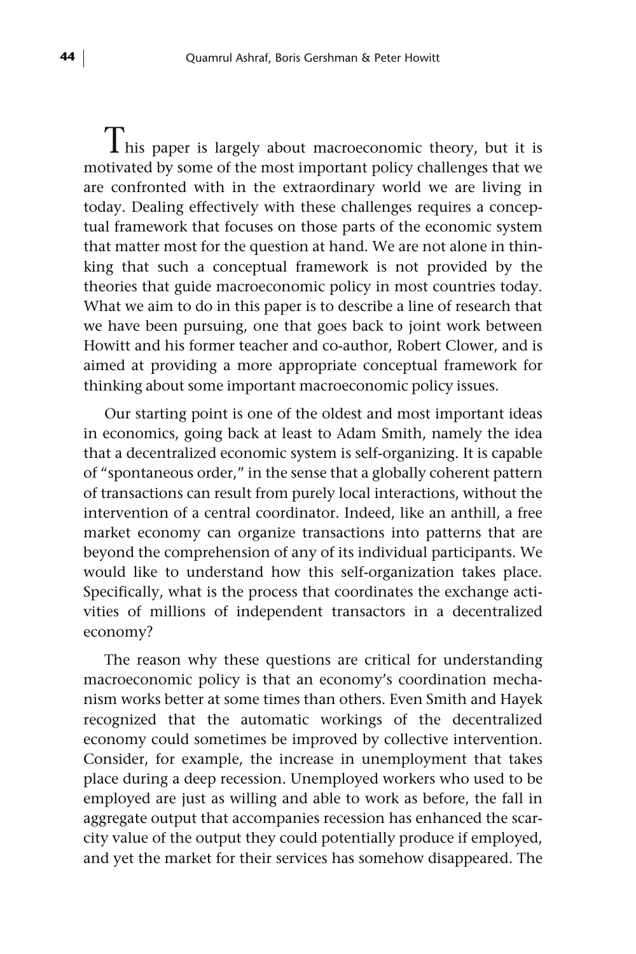$T_{\text{his paper is largely about macroeconomic theory, but it is}}$ motivated by some of the most important policy challenges that we are confronted with in the extraordinary world we are living in today. Dealing effectively with these challenges requires a conceptual framework that focuses on those parts of the economic system that matter most for the question at hand. We are not alone in thinking that such a conceptual framework is not provided by the theories that guide macroeconomic policy in most countries today. What we aim to do in this paper is to describe a line of research that we have been pursuing, one that goes back to joint work between Howitt and his former teacher and co-author, Robert Clower, and is aimed at providing a more appropriate conceptual framework for thinking about some important macroeconomic policy issues.

Our starting point is one of the oldest and most important ideas in economics, going back at least to Adam Smith, namely the idea that a decentralized economic system is self-organizing. It is capable of "spontaneous order," in the sense that a globally coherent pattern of transactions can result from purely local interactions, without the intervention of a central coordinator. Indeed, like an anthill, a free market economy can organize transactions into patterns that are beyond the comprehension of any of its individual participants. We would like to understand how this self-organization takes place. Specifically, what is the process that coordinates the exchange activities of millions of independent transactors in a decentralized economy?

The reason why these questions are critical for understanding macroeconomic policy is that an economy's coordination mechanism works better at some times than others. Even Smith and Hayek recognized that the automatic workings of the decentralized economy could sometimes be improved by collective intervention. Consider, for example, the increase in unemployment that takes place during a deep recession. Unemployed workers who used to be employed are just as willing and able to work as before, the fall in aggregate output that accompanies recession has enhanced the scarcity value of the output they could potentially produce if employed, and yet the market for their services has somehow disappeared. The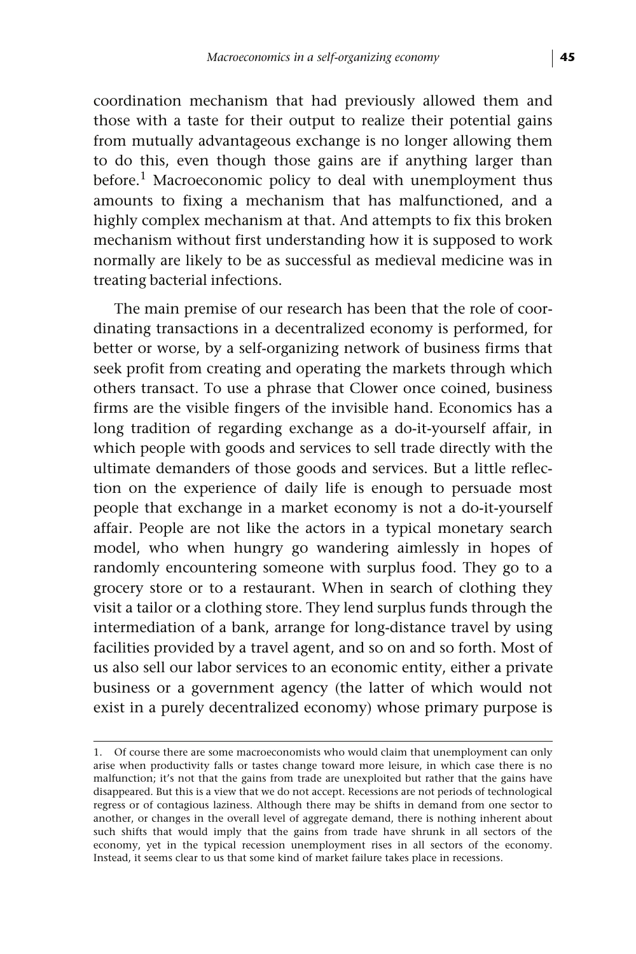coordination mechanism that had previously allowed them and those with a taste for their output to realize their potential gains from mutually advantageous exchange is no longer allowing them to do this, even though those gains are if anything larger than before.<sup>1</sup> Macroeconomic policy to deal with unemployment thus amounts to fixing a mechanism that has malfunctioned, and a highly complex mechanism at that. And attempts to fix this broken mechanism without first understanding how it is supposed to work normally are likely to be as successful as medieval medicine was in treating bacterial infections.

The main premise of our research has been that the role of coordinating transactions in a decentralized economy is performed, for better or worse, by a self-organizing network of business firms that seek profit from creating and operating the markets through which others transact. To use a phrase that Clower once coined, business firms are the visible fingers of the invisible hand. Economics has a long tradition of regarding exchange as a do-it-yourself affair, in which people with goods and services to sell trade directly with the ultimate demanders of those goods and services. But a little reflection on the experience of daily life is enough to persuade most people that exchange in a market economy is not a do-it-yourself affair. People are not like the actors in a typical monetary search model, who when hungry go wandering aimlessly in hopes of randomly encountering someone with surplus food. They go to a grocery store or to a restaurant. When in search of clothing they visit a tailor or a clothing store. They lend surplus funds through the intermediation of a bank, arrange for long-distance travel by using facilities provided by a travel agent, and so on and so forth. Most of us also sell our labor services to an economic entity, either a private business or a government agency (the latter of which would not exist in a purely decentralized economy) whose primary purpose is

<sup>1.</sup> Of course there are some macroeconomists who would claim that unemployment can only arise when productivity falls or tastes change toward more leisure, in which case there is no malfunction; it's not that the gains from trade are unexploited but rather that the gains have disappeared. But this is a view that we do not accept. Recessions are not periods of technological regress or of contagious laziness. Although there may be shifts in demand from one sector to another, or changes in the overall level of aggregate demand, there is nothing inherent about such shifts that would imply that the gains from trade have shrunk in all sectors of the economy, yet in the typical recession unemployment rises in all sectors of the economy. Instead, it seems clear to us that some kind of market failure takes place in recessions.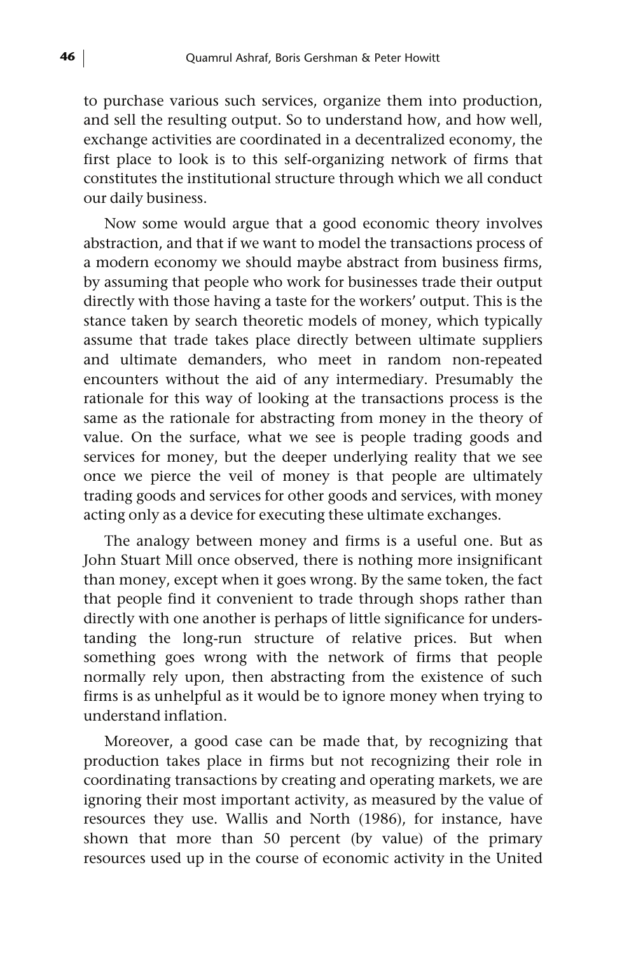to purchase various such services, organize them into production, and sell the resulting output. So to understand how, and how well, exchange activities are coordinated in a decentralized economy, the first place to look is to this self-organizing network of firms that constitutes the institutional structure through which we all conduct our daily business.

Now some would argue that a good economic theory involves abstraction, and that if we want to model the transactions process of a modern economy we should maybe abstract from business firms, by assuming that people who work for businesses trade their output directly with those having a taste for the workers' output. This is the stance taken by search theoretic models of money, which typically assume that trade takes place directly between ultimate suppliers and ultimate demanders, who meet in random non-repeated encounters without the aid of any intermediary. Presumably the rationale for this way of looking at the transactions process is the same as the rationale for abstracting from money in the theory of value. On the surface, what we see is people trading goods and services for money, but the deeper underlying reality that we see once we pierce the veil of money is that people are ultimately trading goods and services for other goods and services, with money acting only as a device for executing these ultimate exchanges.

The analogy between money and firms is a useful one. But as John Stuart Mill once observed, there is nothing more insignificant than money, except when it goes wrong. By the same token, the fact that people find it convenient to trade through shops rather than directly with one another is perhaps of little significance for understanding the long-run structure of relative prices. But when something goes wrong with the network of firms that people normally rely upon, then abstracting from the existence of such firms is as unhelpful as it would be to ignore money when trying to understand inflation.

Moreover, a good case can be made that, by recognizing that production takes place in firms but not recognizing their role in coordinating transactions by creating and operating markets, we are ignoring their most important activity, as measured by the value of resources they use. Wallis and North (1986), for instance, have shown that more than 50 percent (by value) of the primary resources used up in the course of economic activity in the United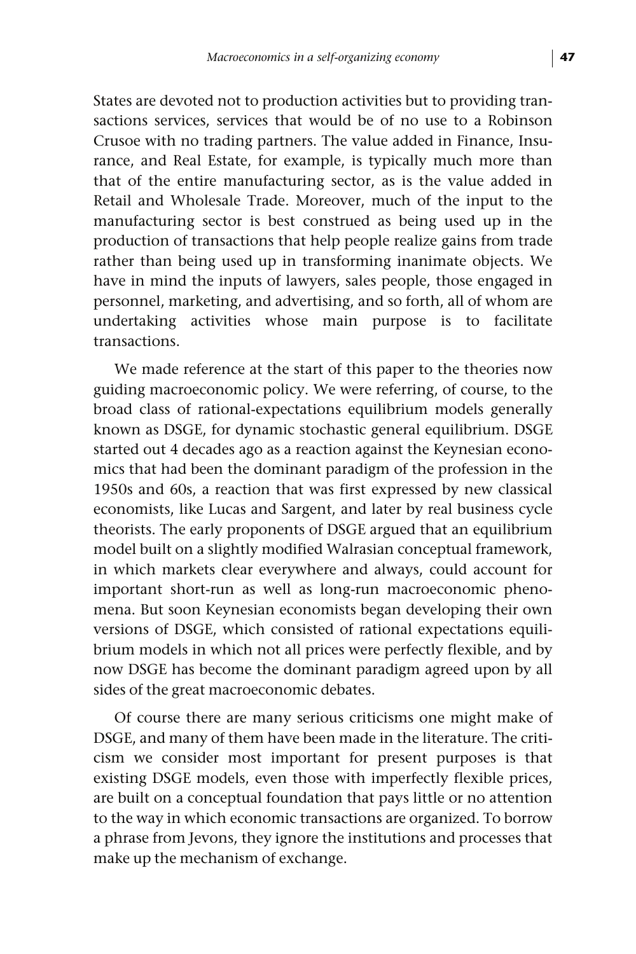States are devoted not to production activities but to providing transactions services, services that would be of no use to a Robinson Crusoe with no trading partners. The value added in Finance, Insurance, and Real Estate, for example, is typically much more than that of the entire manufacturing sector, as is the value added in Retail and Wholesale Trade. Moreover, much of the input to the manufacturing sector is best construed as being used up in the production of transactions that help people realize gains from trade rather than being used up in transforming inanimate objects. We have in mind the inputs of lawyers, sales people, those engaged in personnel, marketing, and advertising, and so forth, all of whom are undertaking activities whose main purpose is to facilitate transactions.

We made reference at the start of this paper to the theories now guiding macroeconomic policy. We were referring, of course, to the broad class of rational-expectations equilibrium models generally known as DSGE, for dynamic stochastic general equilibrium. DSGE started out 4 decades ago as a reaction against the Keynesian economics that had been the dominant paradigm of the profession in the 1950s and 60s, a reaction that was first expressed by new classical economists, like Lucas and Sargent, and later by real business cycle theorists. The early proponents of DSGE argued that an equilibrium model built on a slightly modified Walrasian conceptual framework, in which markets clear everywhere and always, could account for important short-run as well as long-run macroeconomic phenomena. But soon Keynesian economists began developing their own versions of DSGE, which consisted of rational expectations equilibrium models in which not all prices were perfectly flexible, and by now DSGE has become the dominant paradigm agreed upon by all sides of the great macroeconomic debates.

Of course there are many serious criticisms one might make of DSGE, and many of them have been made in the literature. The criticism we consider most important for present purposes is that existing DSGE models, even those with imperfectly flexible prices, are built on a conceptual foundation that pays little or no attention to the way in which economic transactions are organized. To borrow a phrase from Jevons, they ignore the institutions and processes that make up the mechanism of exchange.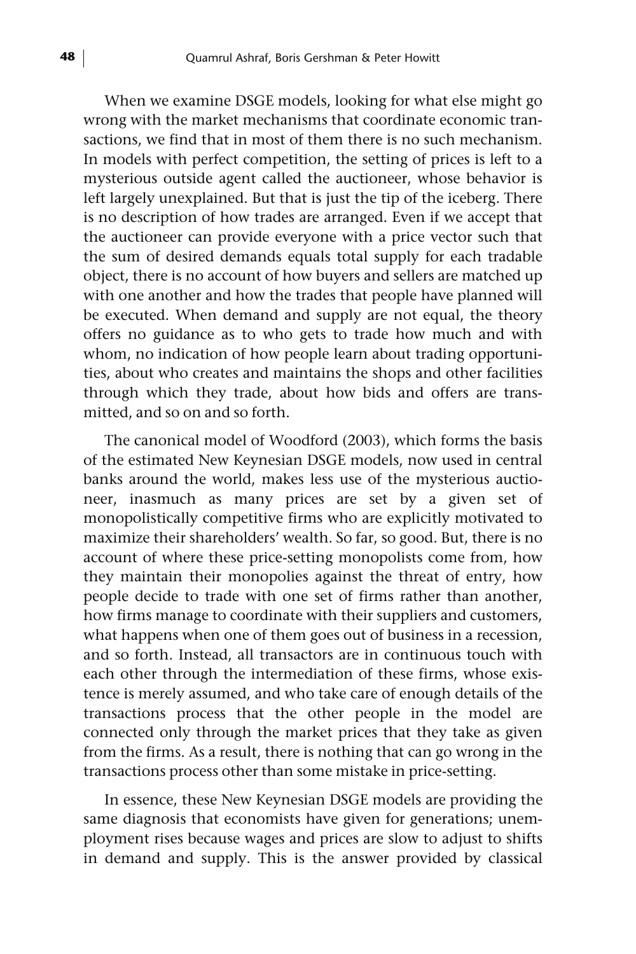When we examine DSGE models, looking for what else might go wrong with the market mechanisms that coordinate economic transactions, we find that in most of them there is no such mechanism. In models with perfect competition, the setting of prices is left to a mysterious outside agent called the auctioneer, whose behavior is left largely unexplained. But that is just the tip of the iceberg. There is no description of how trades are arranged. Even if we accept that the auctioneer can provide everyone with a price vector such that the sum of desired demands equals total supply for each tradable object, there is no account of how buyers and sellers are matched up with one another and how the trades that people have planned will be executed. When demand and supply are not equal, the theory offers no guidance as to who gets to trade how much and with whom, no indication of how people learn about trading opportunities, about who creates and maintains the shops and other facilities through which they trade, about how bids and offers are transmitted, and so on and so forth.

The canonical model of Woodford (2003), which forms the basis of the estimated New Keynesian DSGE models, now used in central banks around the world, makes less use of the mysterious auctioneer, inasmuch as many prices are set by a given set of monopolistically competitive firms who are explicitly motivated to maximize their shareholders' wealth. So far, so good. But, there is no account of where these price-setting monopolists come from, how they maintain their monopolies against the threat of entry, how people decide to trade with one set of firms rather than another, how firms manage to coordinate with their suppliers and customers, what happens when one of them goes out of business in a recession, and so forth. Instead, all transactors are in continuous touch with each other through the intermediation of these firms, whose existence is merely assumed, and who take care of enough details of the transactions process that the other people in the model are connected only through the market prices that they take as given from the firms. As a result, there is nothing that can go wrong in the transactions process other than some mistake in price-setting.

In essence, these New Keynesian DSGE models are providing the same diagnosis that economists have given for generations; unemployment rises because wages and prices are slow to adjust to shifts in demand and supply. This is the answer provided by classical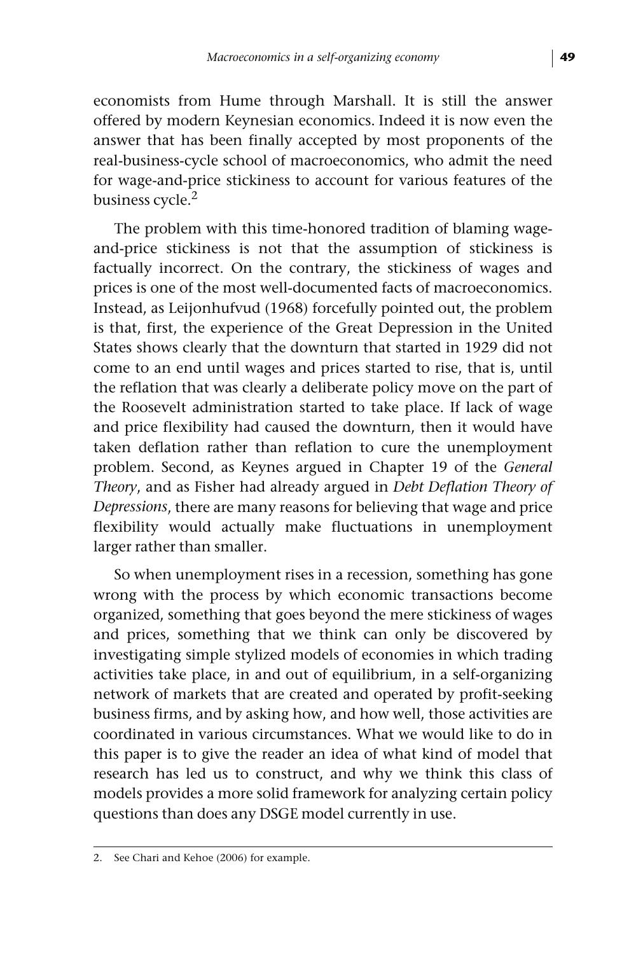economists from Hume through Marshall. It is still the answer offered by modern Keynesian economics. Indeed it is now even the answer that has been finally accepted by most proponents of the real-business-cycle school of macroeconomics, who admit the need for wage-and-price stickiness to account for various features of the business cycle.<sup>2</sup>

The problem with this time-honored tradition of blaming wageand-price stickiness is not that the assumption of stickiness is factually incorrect. On the contrary, the stickiness of wages and prices is one of the most well-documented facts of macroeconomics. Instead, as Leijonhufvud (1968) forcefully pointed out, the problem is that, first, the experience of the Great Depression in the United States shows clearly that the downturn that started in 1929 did not come to an end until wages and prices started to rise, that is, until the reflation that was clearly a deliberate policy move on the part of the Roosevelt administration started to take place. If lack of wage and price flexibility had caused the downturn, then it would have taken deflation rather than reflation to cure the unemployment problem. Second, as Keynes argued in Chapter 19 of the *General Theory*, and as Fisher had already argued in *Debt Deflation Theory of Depressions*, there are many reasons for believing that wage and price flexibility would actually make fluctuations in unemployment larger rather than smaller.

So when unemployment rises in a recession, something has gone wrong with the process by which economic transactions become organized, something that goes beyond the mere stickiness of wages and prices, something that we think can only be discovered by investigating simple stylized models of economies in which trading activities take place, in and out of equilibrium, in a self-organizing network of markets that are created and operated by profit-seeking business firms, and by asking how, and how well, those activities are coordinated in various circumstances. What we would like to do in this paper is to give the reader an idea of what kind of model that research has led us to construct, and why we think this class of models provides a more solid framework for analyzing certain policy questions than does any DSGE model currently in use.

<sup>2.</sup> See Chari and Kehoe (2006) for example.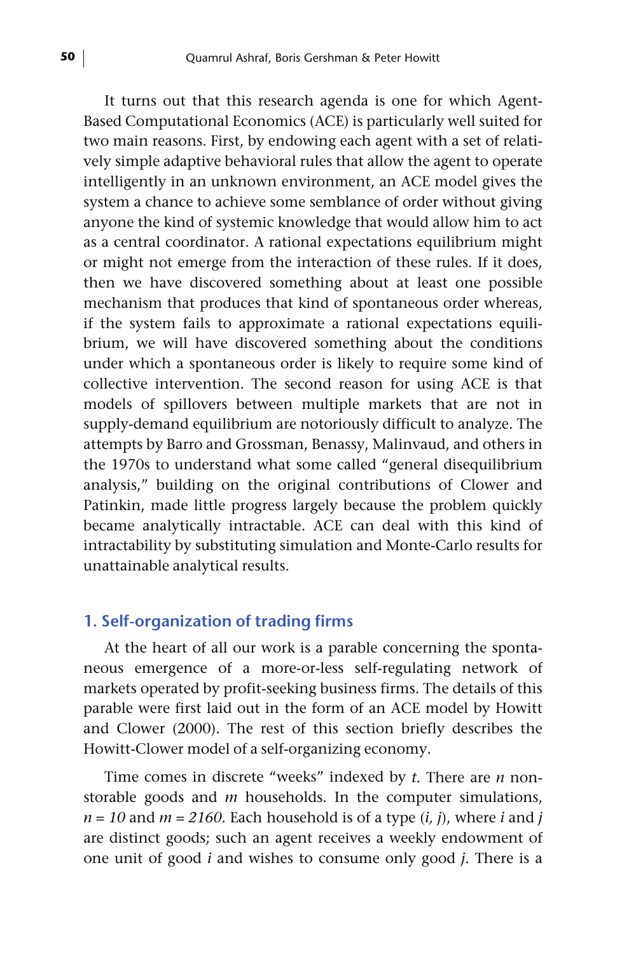It turns out that this research agenda is one for which Agent-Based Computational Economics (ACE) is particularly well suited for two main reasons. First, by endowing each agent with a set of relatively simple adaptive behavioral rules that allow the agent to operate intelligently in an unknown environment, an ACE model gives the system a chance to achieve some semblance of order without giving anyone the kind of systemic knowledge that would allow him to act as a central coordinator. A rational expectations equilibrium might or might not emerge from the interaction of these rules. If it does, then we have discovered something about at least one possible mechanism that produces that kind of spontaneous order whereas, if the system fails to approximate a rational expectations equilibrium, we will have discovered something about the conditions under which a spontaneous order is likely to require some kind of collective intervention. The second reason for using ACE is that models of spillovers between multiple markets that are not in supply-demand equilibrium are notoriously difficult to analyze. The attempts by Barro and Grossman, Benassy, Malinvaud, and others in the 1970s to understand what some called "general disequilibrium analysis," building on the original contributions of Clower and Patinkin, made little progress largely because the problem quickly became analytically intractable. ACE can deal with this kind of intractability by substituting simulation and Monte-Carlo results for unattainable analytical results.

## **1. Self-organization of trading firms**

At the heart of all our work is a parable concerning the spontaneous emergence of a more-or-less self-regulating network of markets operated by profit-seeking business firms. The details of this parable were first laid out in the form of an ACE model by Howitt and Clower (2000). The rest of this section briefly describes the Howitt-Clower model of a self-organizing economy.

Time comes in discrete "weeks" indexed by *t*. There are *n* nonstorable goods and *m* households. In the computer simulations,  $n = 10$  and  $m = 2160$ . Each household is of a type  $(i, j)$ , where *i* and *j* are distinct goods; such an agent receives a weekly endowment of one unit of good *i* and wishes to consume only good *j*. There is a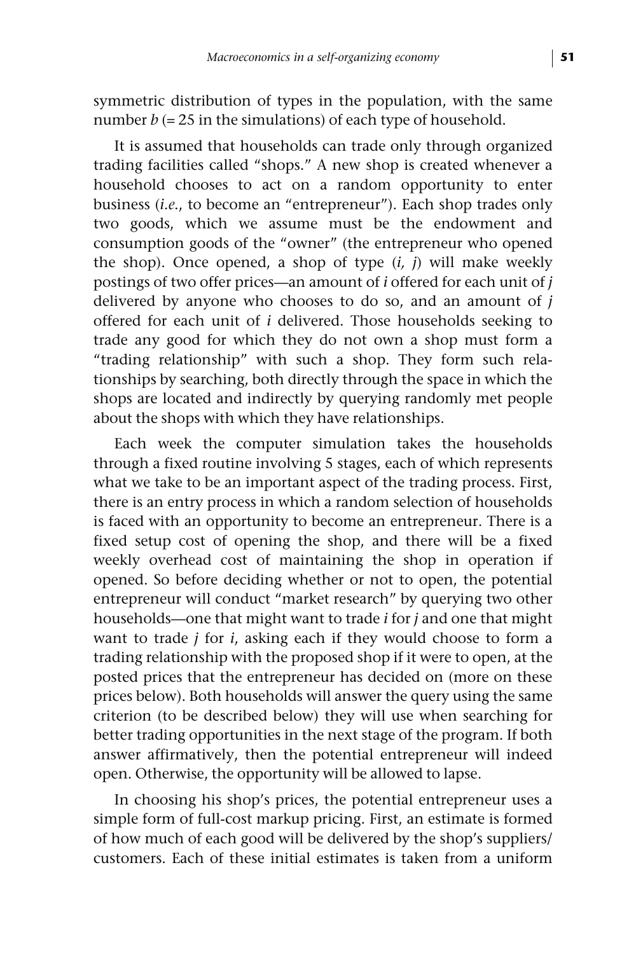symmetric distribution of types in the population, with the same number  $b (= 25$  in the simulations) of each type of household.

It is assumed that households can trade only through organized trading facilities called "shops." A new shop is created whenever a household chooses to act on a random opportunity to enter business (*i.e.*, to become an "entrepreneur"). Each shop trades only two goods, which we assume must be the endowment and consumption goods of the "owner" (the entrepreneur who opened the shop). Once opened, a shop of type (*i, j*) will make weekly postings of two offer prices—an amount of *i* offered for each unit of *j* delivered by anyone who chooses to do so, and an amount of *j* offered for each unit of *i* delivered. Those households seeking to trade any good for which they do not own a shop must form a "trading relationship" with such a shop. They form such relationships by searching, both directly through the space in which the shops are located and indirectly by querying randomly met people about the shops with which they have relationships.

Each week the computer simulation takes the households through a fixed routine involving 5 stages, each of which represents what we take to be an important aspect of the trading process. First, there is an entry process in which a random selection of households is faced with an opportunity to become an entrepreneur. There is a fixed setup cost of opening the shop, and there will be a fixed weekly overhead cost of maintaining the shop in operation if opened. So before deciding whether or not to open, the potential entrepreneur will conduct "market research" by querying two other households—one that might want to trade *i* for *j* and one that might want to trade *j* for *i*, asking each if they would choose to form a trading relationship with the proposed shop if it were to open, at the posted prices that the entrepreneur has decided on (more on these prices below). Both households will answer the query using the same criterion (to be described below) they will use when searching for better trading opportunities in the next stage of the program. If both answer affirmatively, then the potential entrepreneur will indeed open. Otherwise, the opportunity will be allowed to lapse.

In choosing his shop's prices, the potential entrepreneur uses a simple form of full-cost markup pricing. First, an estimate is formed of how much of each good will be delivered by the shop's suppliers/ customers. Each of these initial estimates is taken from a uniform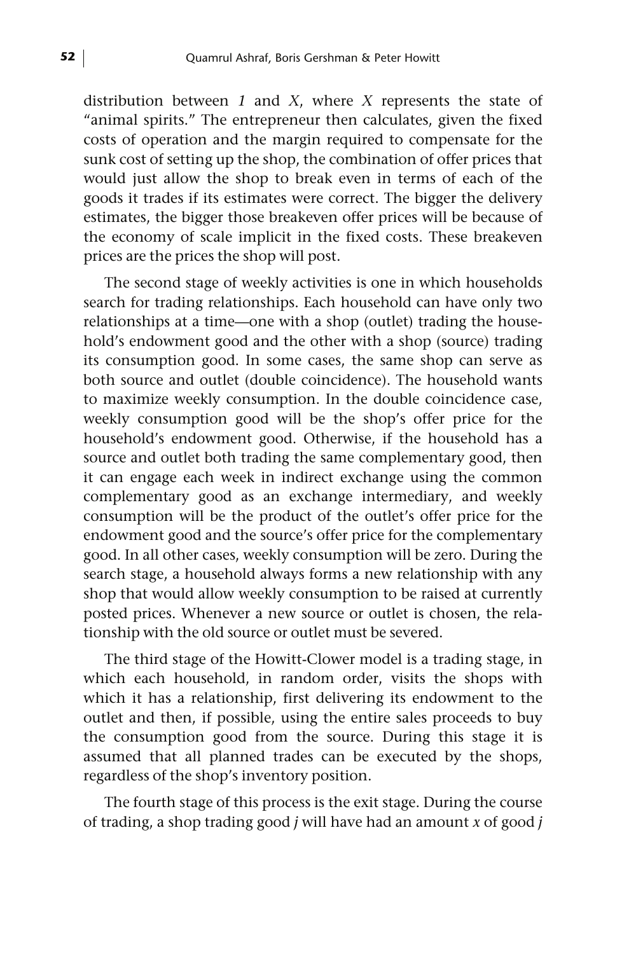distribution between *1* and *X*, where *X* represents the state of "animal spirits." The entrepreneur then calculates, given the fixed costs of operation and the margin required to compensate for the sunk cost of setting up the shop, the combination of offer prices that would just allow the shop to break even in terms of each of the goods it trades if its estimates were correct. The bigger the delivery estimates, the bigger those breakeven offer prices will be because of the economy of scale implicit in the fixed costs. These breakeven prices are the prices the shop will post.

The second stage of weekly activities is one in which households search for trading relationships. Each household can have only two relationships at a time—one with a shop (outlet) trading the household's endowment good and the other with a shop (source) trading its consumption good. In some cases, the same shop can serve as both source and outlet (double coincidence). The household wants to maximize weekly consumption. In the double coincidence case, weekly consumption good will be the shop's offer price for the household's endowment good. Otherwise, if the household has a source and outlet both trading the same complementary good, then it can engage each week in indirect exchange using the common complementary good as an exchange intermediary, and weekly consumption will be the product of the outlet's offer price for the endowment good and the source's offer price for the complementary good. In all other cases, weekly consumption will be zero. During the search stage, a household always forms a new relationship with any shop that would allow weekly consumption to be raised at currently posted prices. Whenever a new source or outlet is chosen, the relationship with the old source or outlet must be severed.

The third stage of the Howitt-Clower model is a trading stage, in which each household, in random order, visits the shops with which it has a relationship, first delivering its endowment to the outlet and then, if possible, using the entire sales proceeds to buy the consumption good from the source. During this stage it is assumed that all planned trades can be executed by the shops, regardless of the shop's inventory position.

The fourth stage of this process is the exit stage. During the course of trading, a shop trading good *j* will have had an amount *x* of good *j*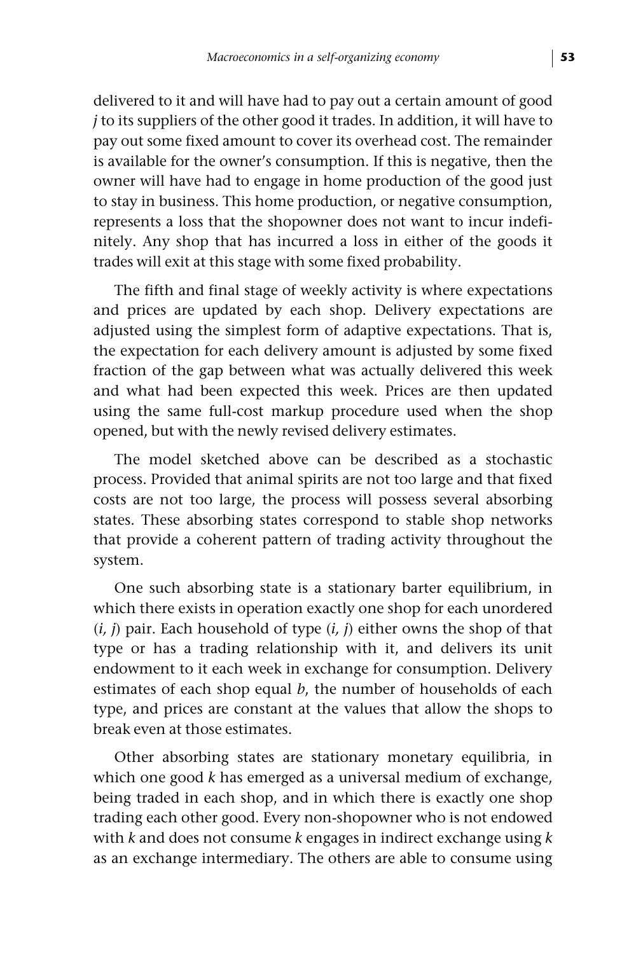delivered to it and will have had to pay out a certain amount of good *j* to its suppliers of the other good it trades. In addition, it will have to pay out some fixed amount to cover its overhead cost. The remainder is available for the owner's consumption. If this is negative, then the owner will have had to engage in home production of the good just to stay in business. This home production, or negative consumption, represents a loss that the shopowner does not want to incur indefinitely. Any shop that has incurred a loss in either of the goods it trades will exit at this stage with some fixed probability.

The fifth and final stage of weekly activity is where expectations and prices are updated by each shop. Delivery expectations are adjusted using the simplest form of adaptive expectations. That is, the expectation for each delivery amount is adjusted by some fixed fraction of the gap between what was actually delivered this week and what had been expected this week. Prices are then updated using the same full-cost markup procedure used when the shop opened, but with the newly revised delivery estimates.

The model sketched above can be described as a stochastic process. Provided that animal spirits are not too large and that fixed costs are not too large, the process will possess several absorbing states. These absorbing states correspond to stable shop networks that provide a coherent pattern of trading activity throughout the system.

One such absorbing state is a stationary barter equilibrium, in which there exists in operation exactly one shop for each unordered (*i, j*) pair. Each household of type (*i, j*) either owns the shop of that type or has a trading relationship with it, and delivers its unit endowment to it each week in exchange for consumption. Delivery estimates of each shop equal *b*, the number of households of each type, and prices are constant at the values that allow the shops to break even at those estimates.

Other absorbing states are stationary monetary equilibria, in which one good *k* has emerged as a universal medium of exchange, being traded in each shop, and in which there is exactly one shop trading each other good. Every non-shopowner who is not endowed with *k* and does not consume *k* engages in indirect exchange using *k* as an exchange intermediary. The others are able to consume using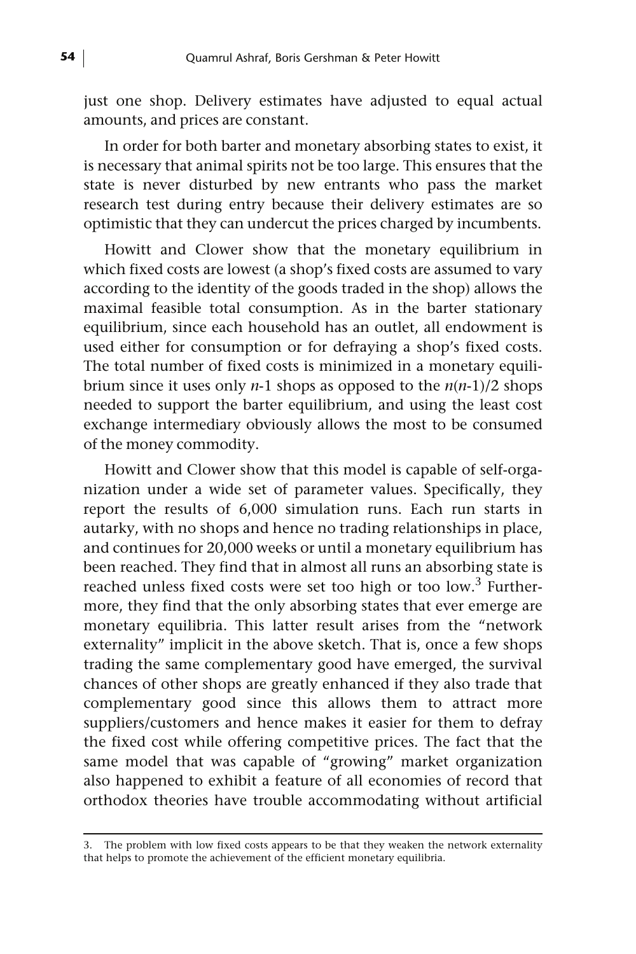just one shop. Delivery estimates have adjusted to equal actual amounts, and prices are constant.

In order for both barter and monetary absorbing states to exist, it is necessary that animal spirits not be too large. This ensures that the state is never disturbed by new entrants who pass the market research test during entry because their delivery estimates are so optimistic that they can undercut the prices charged by incumbents.

Howitt and Clower show that the monetary equilibrium in which fixed costs are lowest (a shop's fixed costs are assumed to vary according to the identity of the goods traded in the shop) allows the maximal feasible total consumption. As in the barter stationary equilibrium, since each household has an outlet, all endowment is used either for consumption or for defraying a shop's fixed costs. The total number of fixed costs is minimized in a monetary equilibrium since it uses only  $n-1$  shops as opposed to the  $n(n-1)/2$  shops needed to support the barter equilibrium, and using the least cost exchange intermediary obviously allows the most to be consumed of the money commodity.

Howitt and Clower show that this model is capable of self-organization under a wide set of parameter values. Specifically, they report the results of 6,000 simulation runs. Each run starts in autarky, with no shops and hence no trading relationships in place, and continues for 20,000 weeks or until a monetary equilibrium has been reached. They find that in almost all runs an absorbing state is reached unless fixed costs were set too high or too low.<sup>3</sup> Furthermore, they find that the only absorbing states that ever emerge are monetary equilibria. This latter result arises from the "network externality" implicit in the above sketch. That is, once a few shops trading the same complementary good have emerged, the survival chances of other shops are greatly enhanced if they also trade that complementary good since this allows them to attract more suppliers/customers and hence makes it easier for them to defray the fixed cost while offering competitive prices. The fact that the same model that was capable of "growing" market organization also happened to exhibit a feature of all economies of record that orthodox theories have trouble accommodating without artificial

<sup>3.</sup> The problem with low fixed costs appears to be that they weaken the network externality that helps to promote the achievement of the efficient monetary equilibria.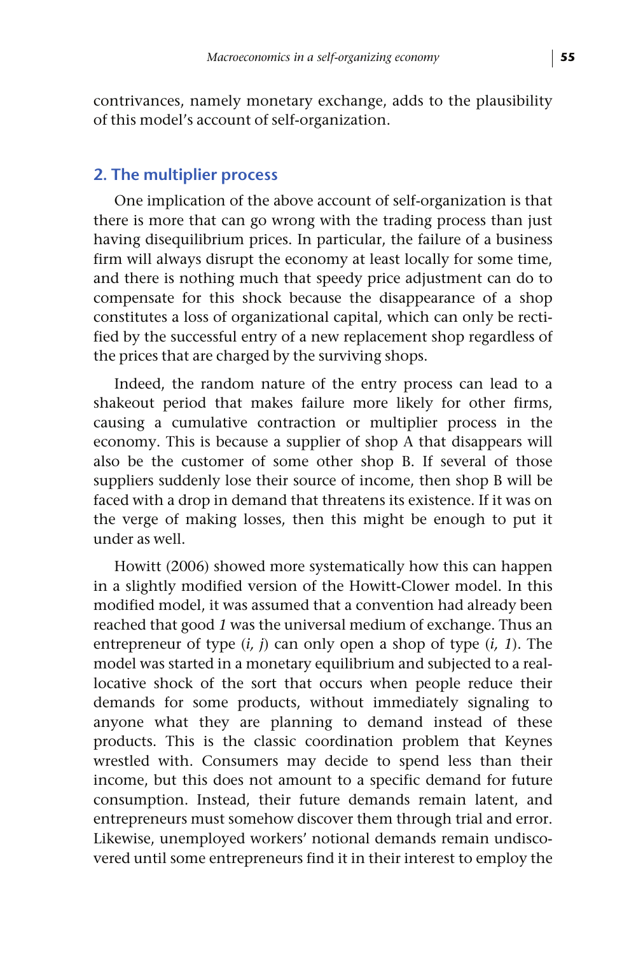contrivances, namely monetary exchange, adds to the plausibility of this model's account of self-organization.

### **2. The multiplier process**

One implication of the above account of self-organization is that there is more that can go wrong with the trading process than just having disequilibrium prices. In particular, the failure of a business firm will always disrupt the economy at least locally for some time, and there is nothing much that speedy price adjustment can do to compensate for this shock because the disappearance of a shop constitutes a loss of organizational capital, which can only be rectified by the successful entry of a new replacement shop regardless of the prices that are charged by the surviving shops.

Indeed, the random nature of the entry process can lead to a shakeout period that makes failure more likely for other firms, causing a cumulative contraction or multiplier process in the economy. This is because a supplier of shop A that disappears will also be the customer of some other shop B. If several of those suppliers suddenly lose their source of income, then shop B will be faced with a drop in demand that threatens its existence. If it was on the verge of making losses, then this might be enough to put it under as well.

Howitt (2006) showed more systematically how this can happen in a slightly modified version of the Howitt-Clower model. In this modified model, it was assumed that a convention had already been reached that good *1* was the universal medium of exchange. Thus an entrepreneur of type (*i, j*) can only open a shop of type (*i, 1*). The model was started in a monetary equilibrium and subjected to a reallocative shock of the sort that occurs when people reduce their demands for some products, without immediately signaling to anyone what they are planning to demand instead of these products. This is the classic coordination problem that Keynes wrestled with. Consumers may decide to spend less than their income, but this does not amount to a specific demand for future consumption. Instead, their future demands remain latent, and entrepreneurs must somehow discover them through trial and error. Likewise, unemployed workers' notional demands remain undiscovered until some entrepreneurs find it in their interest to employ the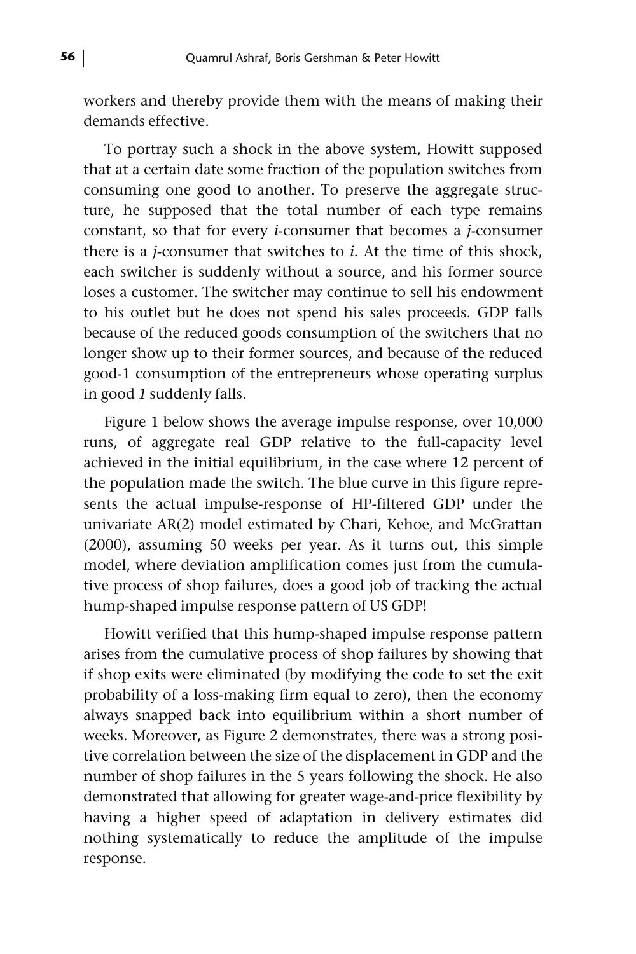workers and thereby provide them with the means of making their demands effective.

To portray such a shock in the above system, Howitt supposed that at a certain date some fraction of the population switches from consuming one good to another. To preserve the aggregate structure, he supposed that the total number of each type remains constant, so that for every *i*-consumer that becomes a *j*-consumer there is a *j*-consumer that switches to *i*. At the time of this shock, each switcher is suddenly without a source, and his former source loses a customer. The switcher may continue to sell his endowment to his outlet but he does not spend his sales proceeds. GDP falls because of the reduced goods consumption of the switchers that no longer show up to their former sources, and because of the reduced good-1 consumption of the entrepreneurs whose operating surplus in good *1* suddenly falls.

Figure 1 below shows the average impulse response, over 10,000 runs, of aggregate real GDP relative to the full-capacity level achieved in the initial equilibrium, in the case where 12 percent of the population made the switch. The blue curve in this figure represents the actual impulse-response of HP-filtered GDP under the univariate AR(2) model estimated by Chari, Kehoe, and McGrattan (2000), assuming 50 weeks per year. As it turns out, this simple model, where deviation amplification comes just from the cumulative process of shop failures, does a good job of tracking the actual hump-shaped impulse response pattern of US GDP!

Howitt verified that this hump-shaped impulse response pattern arises from the cumulative process of shop failures by showing that if shop exits were eliminated (by modifying the code to set the exit probability of a loss-making firm equal to zero), then the economy always snapped back into equilibrium within a short number of weeks. Moreover, as Figure 2 demonstrates, there was a strong positive correlation between the size of the displacement in GDP and the number of shop failures in the 5 years following the shock. He also demonstrated that allowing for greater wage-and-price flexibility by having a higher speed of adaptation in delivery estimates did nothing systematically to reduce the amplitude of the impulse response.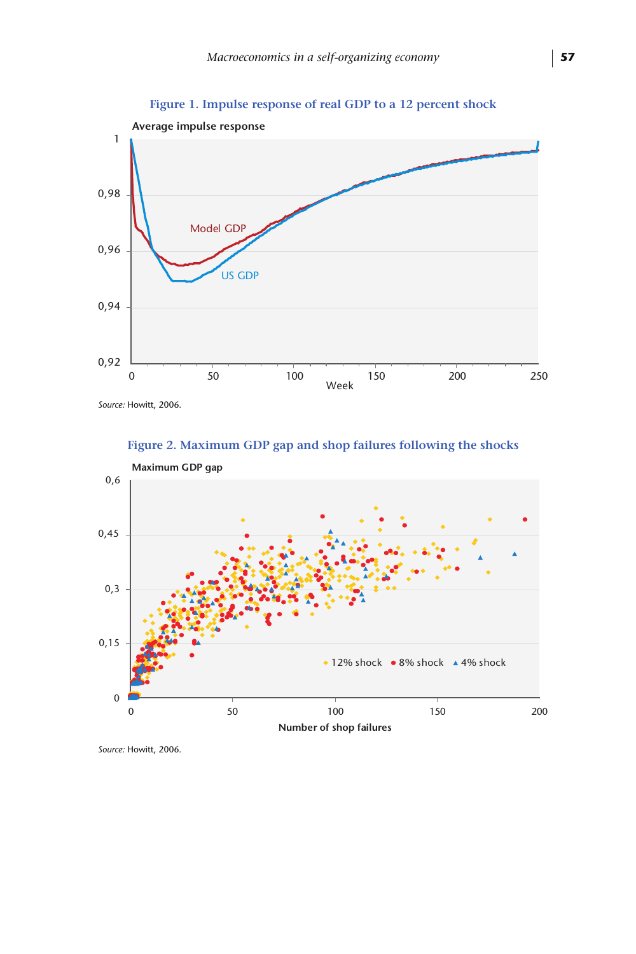



*Source:* Howitt, 2006.



**Figure 2. Maximum GDP gap and shop failures following the shocks**

*Source:* Howitt, 2006.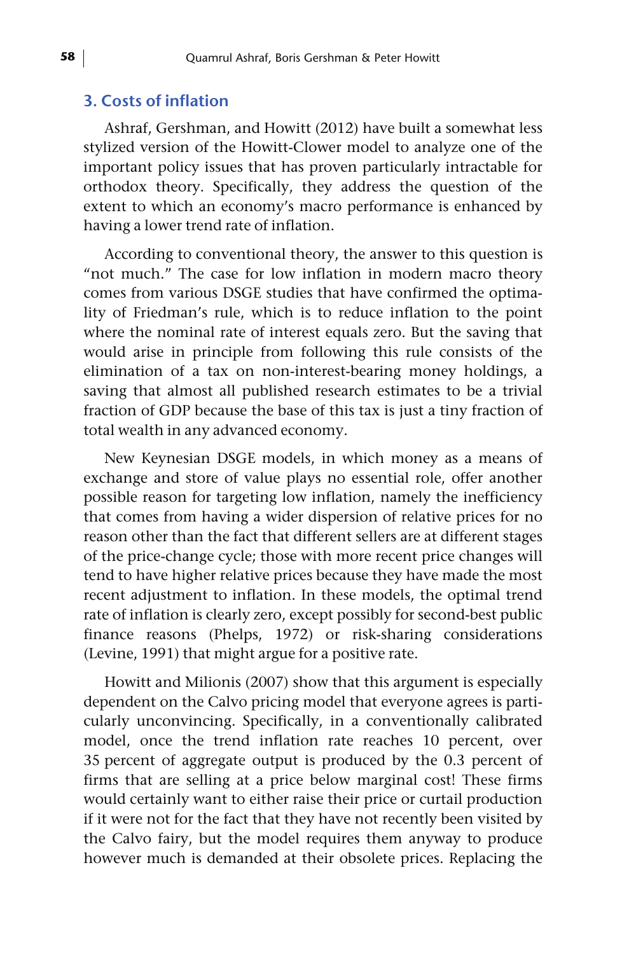### **3. Costs of inflation**

Ashraf, Gershman, and Howitt (2012) have built a somewhat less stylized version of the Howitt-Clower model to analyze one of the important policy issues that has proven particularly intractable for orthodox theory. Specifically, they address the question of the extent to which an economy's macro performance is enhanced by having a lower trend rate of inflation.

According to conventional theory, the answer to this question is "not much." The case for low inflation in modern macro theory comes from various DSGE studies that have confirmed the optimality of Friedman's rule, which is to reduce inflation to the point where the nominal rate of interest equals zero. But the saving that would arise in principle from following this rule consists of the elimination of a tax on non-interest-bearing money holdings, a saving that almost all published research estimates to be a trivial fraction of GDP because the base of this tax is just a tiny fraction of total wealth in any advanced economy.

New Keynesian DSGE models, in which money as a means of exchange and store of value plays no essential role, offer another possible reason for targeting low inflation, namely the inefficiency that comes from having a wider dispersion of relative prices for no reason other than the fact that different sellers are at different stages of the price-change cycle; those with more recent price changes will tend to have higher relative prices because they have made the most recent adjustment to inflation. In these models, the optimal trend rate of inflation is clearly zero, except possibly for second-best public finance reasons (Phelps, 1972) or risk-sharing considerations (Levine, 1991) that might argue for a positive rate.

Howitt and Milionis (2007) show that this argument is especially dependent on the Calvo pricing model that everyone agrees is particularly unconvincing. Specifically, in a conventionally calibrated model, once the trend inflation rate reaches 10 percent, over 35 percent of aggregate output is produced by the 0.3 percent of firms that are selling at a price below marginal cost! These firms would certainly want to either raise their price or curtail production if it were not for the fact that they have not recently been visited by the Calvo fairy, but the model requires them anyway to produce however much is demanded at their obsolete prices. Replacing the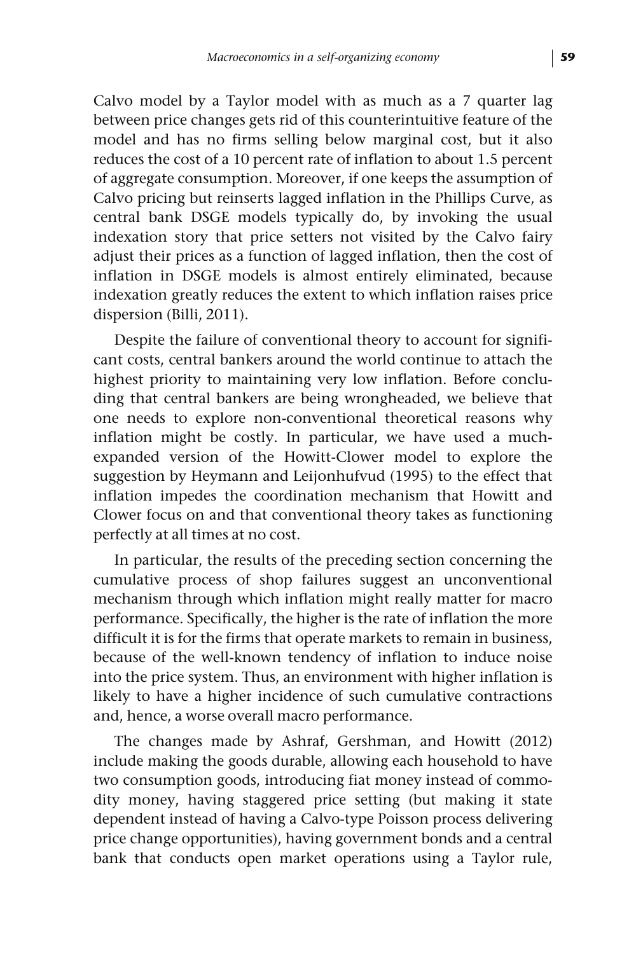Calvo model by a Taylor model with as much as a 7 quarter lag between price changes gets rid of this counterintuitive feature of the model and has no firms selling below marginal cost, but it also reduces the cost of a 10 percent rate of inflation to about 1.5 percent of aggregate consumption. Moreover, if one keeps the assumption of Calvo pricing but reinserts lagged inflation in the Phillips Curve, as central bank DSGE models typically do, by invoking the usual indexation story that price setters not visited by the Calvo fairy adjust their prices as a function of lagged inflation, then the cost of inflation in DSGE models is almost entirely eliminated, because indexation greatly reduces the extent to which inflation raises price dispersion (Billi, 2011).

Despite the failure of conventional theory to account for significant costs, central bankers around the world continue to attach the highest priority to maintaining very low inflation. Before concluding that central bankers are being wrongheaded, we believe that one needs to explore non-conventional theoretical reasons why inflation might be costly. In particular, we have used a muchexpanded version of the Howitt-Clower model to explore the suggestion by Heymann and Leijonhufvud (1995) to the effect that inflation impedes the coordination mechanism that Howitt and Clower focus on and that conventional theory takes as functioning perfectly at all times at no cost.

In particular, the results of the preceding section concerning the cumulative process of shop failures suggest an unconventional mechanism through which inflation might really matter for macro performance. Specifically, the higher is the rate of inflation the more difficult it is for the firms that operate markets to remain in business, because of the well-known tendency of inflation to induce noise into the price system. Thus, an environment with higher inflation is likely to have a higher incidence of such cumulative contractions and, hence, a worse overall macro performance.

The changes made by Ashraf, Gershman, and Howitt (2012) include making the goods durable, allowing each household to have two consumption goods, introducing fiat money instead of commodity money, having staggered price setting (but making it state dependent instead of having a Calvo-type Poisson process delivering price change opportunities), having government bonds and a central bank that conducts open market operations using a Taylor rule,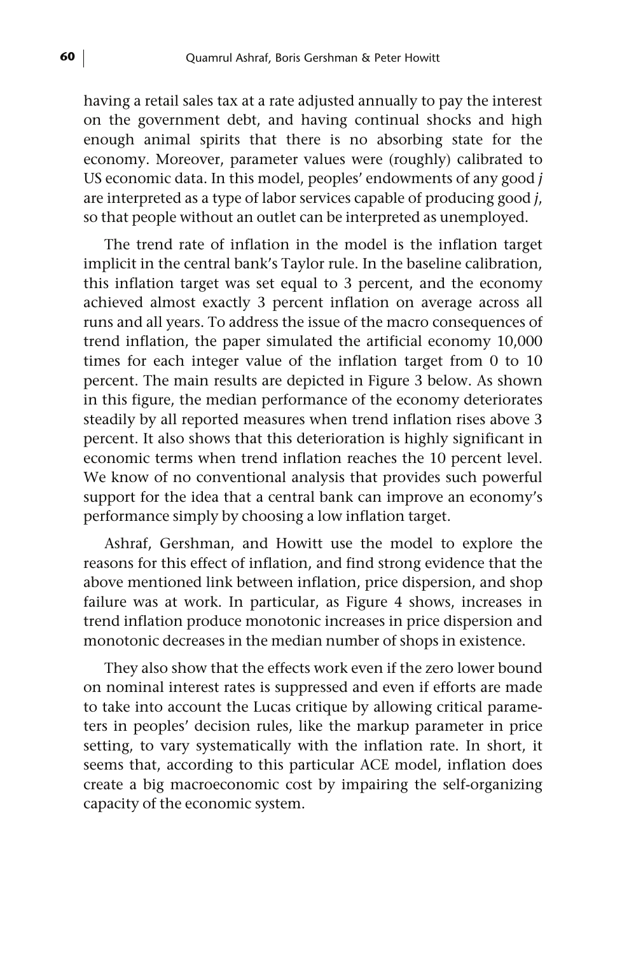having a retail sales tax at a rate adjusted annually to pay the interest on the government debt, and having continual shocks and high enough animal spirits that there is no absorbing state for the economy. Moreover, parameter values were (roughly) calibrated to US economic data. In this model, peoples' endowments of any good *j* are interpreted as a type of labor services capable of producing good *j*, so that people without an outlet can be interpreted as unemployed.

The trend rate of inflation in the model is the inflation target implicit in the central bank's Taylor rule. In the baseline calibration, this inflation target was set equal to 3 percent, and the economy achieved almost exactly 3 percent inflation on average across all runs and all years. To address the issue of the macro consequences of trend inflation, the paper simulated the artificial economy 10,000 times for each integer value of the inflation target from 0 to 10 percent. The main results are depicted in Figure 3 below. As shown in this figure, the median performance of the economy deteriorates steadily by all reported measures when trend inflation rises above 3 percent. It also shows that this deterioration is highly significant in economic terms when trend inflation reaches the 10 percent level. We know of no conventional analysis that provides such powerful support for the idea that a central bank can improve an economy's performance simply by choosing a low inflation target.

Ashraf, Gershman, and Howitt use the model to explore the reasons for this effect of inflation, and find strong evidence that the above mentioned link between inflation, price dispersion, and shop failure was at work. In particular, as Figure 4 shows, increases in trend inflation produce monotonic increases in price dispersion and monotonic decreases in the median number of shops in existence.

They also show that the effects work even if the zero lower bound on nominal interest rates is suppressed and even if efforts are made to take into account the Lucas critique by allowing critical parameters in peoples' decision rules, like the markup parameter in price setting, to vary systematically with the inflation rate. In short, it seems that, according to this particular ACE model, inflation does create a big macroeconomic cost by impairing the self-organizing capacity of the economic system.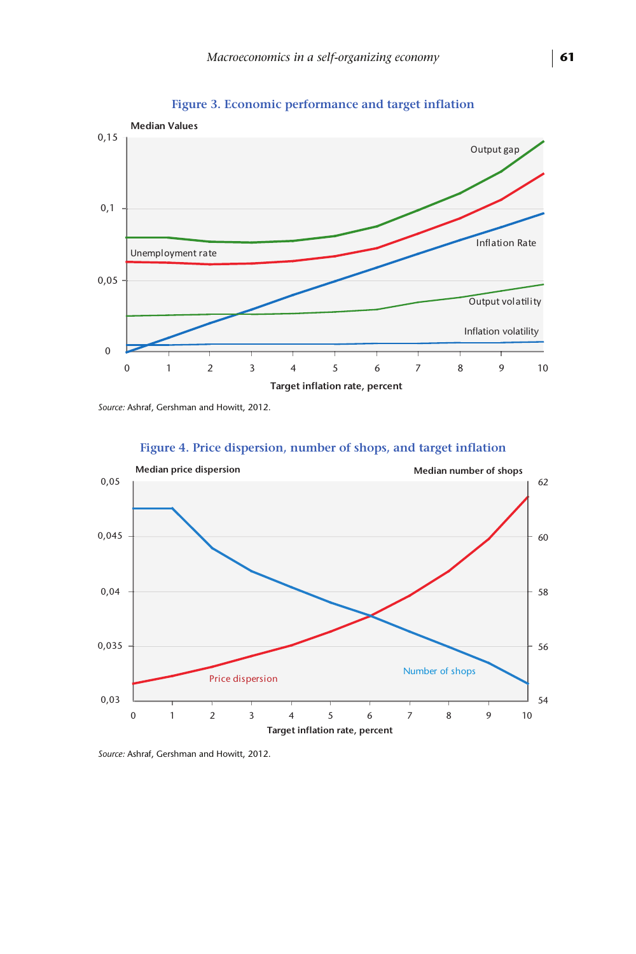

**Figure 3. Economic performance and target inflation**

*Source:* Ashraf, Gershman and Howitt, 2012.



#### **Figure 4. Price dispersion, number of shops, and target inflation**

*Source:* Ashraf, Gershman and Howitt, 2012.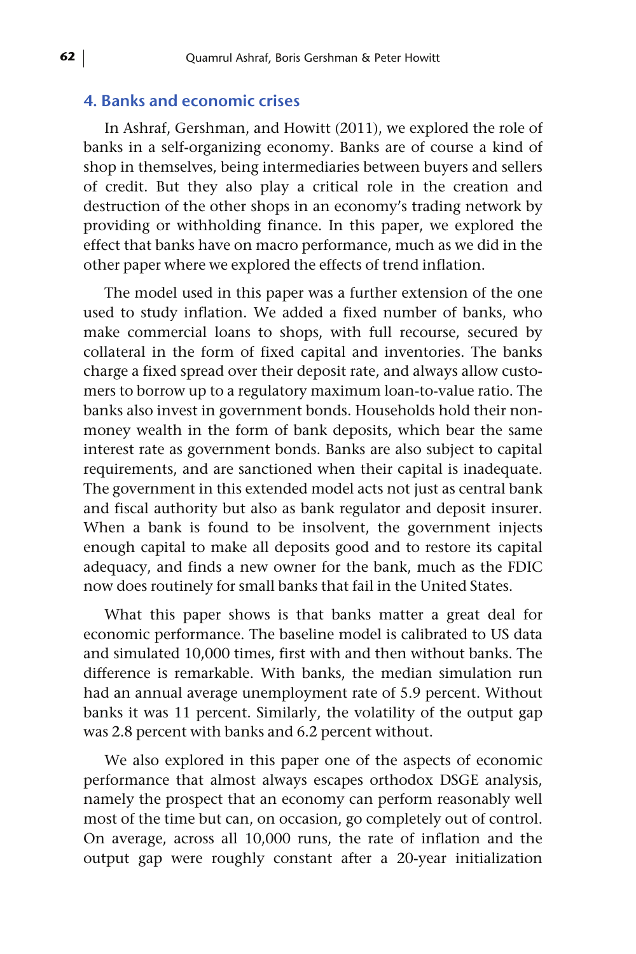### **4. Banks and economic crises**

In Ashraf, Gershman, and Howitt (2011), we explored the role of banks in a self-organizing economy. Banks are of course a kind of shop in themselves, being intermediaries between buyers and sellers of credit. But they also play a critical role in the creation and destruction of the other shops in an economy's trading network by providing or withholding finance. In this paper, we explored the effect that banks have on macro performance, much as we did in the other paper where we explored the effects of trend inflation.

The model used in this paper was a further extension of the one used to study inflation. We added a fixed number of banks, who make commercial loans to shops, with full recourse, secured by collateral in the form of fixed capital and inventories. The banks charge a fixed spread over their deposit rate, and always allow customers to borrow up to a regulatory maximum loan-to-value ratio. The banks also invest in government bonds. Households hold their nonmoney wealth in the form of bank deposits, which bear the same interest rate as government bonds. Banks are also subject to capital requirements, and are sanctioned when their capital is inadequate. The government in this extended model acts not just as central bank and fiscal authority but also as bank regulator and deposit insurer. When a bank is found to be insolvent, the government injects enough capital to make all deposits good and to restore its capital adequacy, and finds a new owner for the bank, much as the FDIC now does routinely for small banks that fail in the United States.

What this paper shows is that banks matter a great deal for economic performance. The baseline model is calibrated to US data and simulated 10,000 times, first with and then without banks. The difference is remarkable. With banks, the median simulation run had an annual average unemployment rate of 5.9 percent. Without banks it was 11 percent. Similarly, the volatility of the output gap was 2.8 percent with banks and 6.2 percent without.

We also explored in this paper one of the aspects of economic performance that almost always escapes orthodox DSGE analysis, namely the prospect that an economy can perform reasonably well most of the time but can, on occasion, go completely out of control. On average, across all 10,000 runs, the rate of inflation and the output gap were roughly constant after a 20-year initialization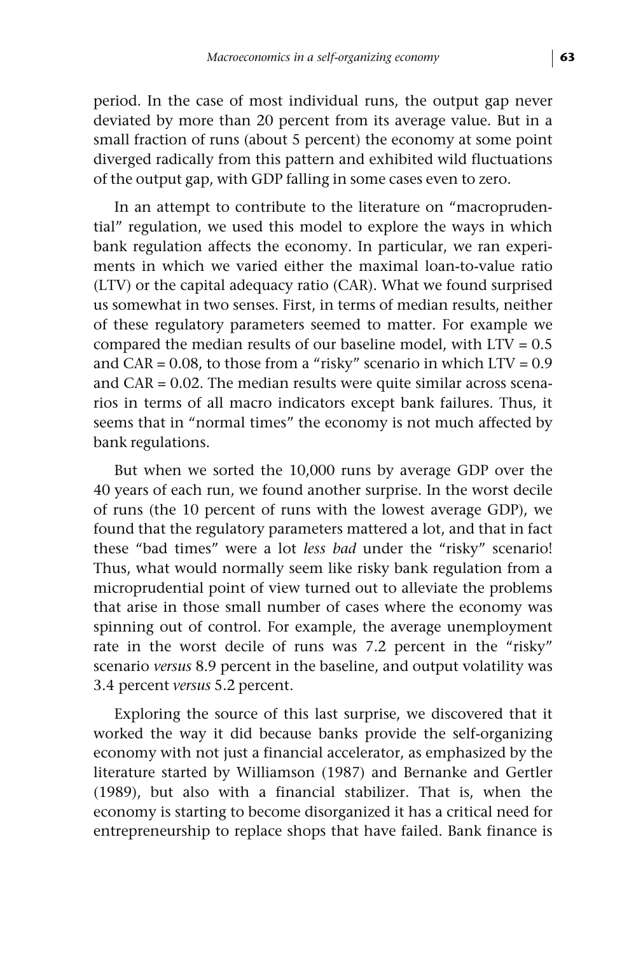period. In the case of most individual runs, the output gap never deviated by more than 20 percent from its average value. But in a small fraction of runs (about 5 percent) the economy at some point diverged radically from this pattern and exhibited wild fluctuations of the output gap, with GDP falling in some cases even to zero.

In an attempt to contribute to the literature on "macroprudential" regulation, we used this model to explore the ways in which bank regulation affects the economy. In particular, we ran experiments in which we varied either the maximal loan-to-value ratio (LTV) or the capital adequacy ratio (CAR). What we found surprised us somewhat in two senses. First, in terms of median results, neither of these regulatory parameters seemed to matter. For example we compared the median results of our baseline model, with  $LTV = 0.5$ and CAR =  $0.08$ , to those from a "risky" scenario in which LTV =  $0.9$ and CAR = 0.02. The median results were quite similar across scenarios in terms of all macro indicators except bank failures. Thus, it seems that in "normal times" the economy is not much affected by bank regulations.

But when we sorted the 10,000 runs by average GDP over the 40 years of each run, we found another surprise. In the worst decile of runs (the 10 percent of runs with the lowest average GDP), we found that the regulatory parameters mattered a lot, and that in fact these "bad times" were a lot *less bad* under the "risky" scenario! Thus, what would normally seem like risky bank regulation from a microprudential point of view turned out to alleviate the problems that arise in those small number of cases where the economy was spinning out of control. For example, the average unemployment rate in the worst decile of runs was 7.2 percent in the "risky" scenario *versus* 8.9 percent in the baseline, and output volatility was 3.4 percent *versus* 5.2 percent.

Exploring the source of this last surprise, we discovered that it worked the way it did because banks provide the self-organizing economy with not just a financial accelerator, as emphasized by the literature started by Williamson (1987) and Bernanke and Gertler (1989), but also with a financial stabilizer. That is, when the economy is starting to become disorganized it has a critical need for entrepreneurship to replace shops that have failed. Bank finance is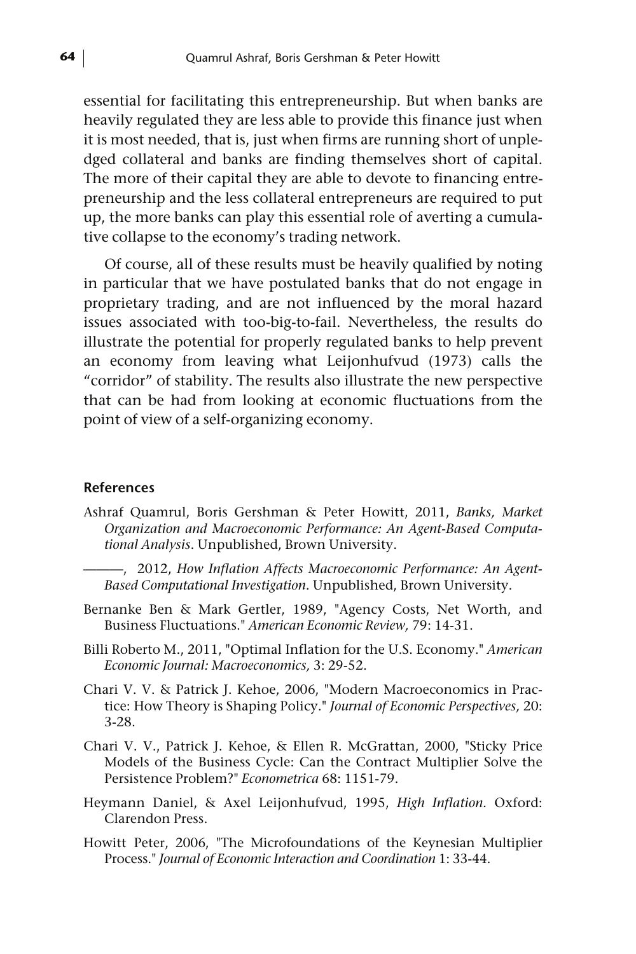essential for facilitating this entrepreneurship. But when banks are heavily regulated they are less able to provide this finance just when it is most needed, that is, just when firms are running short of unpledged collateral and banks are finding themselves short of capital. The more of their capital they are able to devote to financing entrepreneurship and the less collateral entrepreneurs are required to put up, the more banks can play this essential role of averting a cumulative collapse to the economy's trading network.

Of course, all of these results must be heavily qualified by noting in particular that we have postulated banks that do not engage in proprietary trading, and are not influenced by the moral hazard issues associated with too-big-to-fail. Nevertheless, the results do illustrate the potential for properly regulated banks to help prevent an economy from leaving what Leijonhufvud (1973) calls the "corridor" of stability. The results also illustrate the new perspective that can be had from looking at economic fluctuations from the point of view of a self-organizing economy.

#### **References**

- Ashraf Quamrul, Boris Gershman & Peter Howitt, 2011, *Banks, Market Organization and Macroeconomic Performance: An Agent-Based Computational Analysis*. Unpublished, Brown University.
- ———, 2012, *How Inflation Affects Macroeconomic Performance: An Agent-Based Computational Investigation*. Unpublished, Brown University.
- Bernanke Ben & Mark Gertler, 1989, "Agency Costs, Net Worth, and Business Fluctuations." *American Economic Review,* 79: 14-31.
- Billi Roberto M., 2011, "Optimal Inflation for the U.S. Economy." *American Economic Journal: Macroeconomics,* 3: 29-52.
- Chari V. V. & Patrick J. Kehoe, 2006, "Modern Macroeconomics in Practice: How Theory is Shaping Policy." *Journal of Economic Perspectives,* 20: 3-28.
- Chari V. V., Patrick J. Kehoe, & Ellen R. McGrattan, 2000, "Sticky Price Models of the Business Cycle: Can the Contract Multiplier Solve the Persistence Problem?" *Econometrica* 68: 1151-79.
- Heymann Daniel, & Axel Leijonhufvud, 1995, *High Inflation.* Oxford: Clarendon Press.
- Howitt Peter, 2006, "The Microfoundations of the Keynesian Multiplier Process." *Journal of Economic Interaction and Coordination* 1: 33-44.